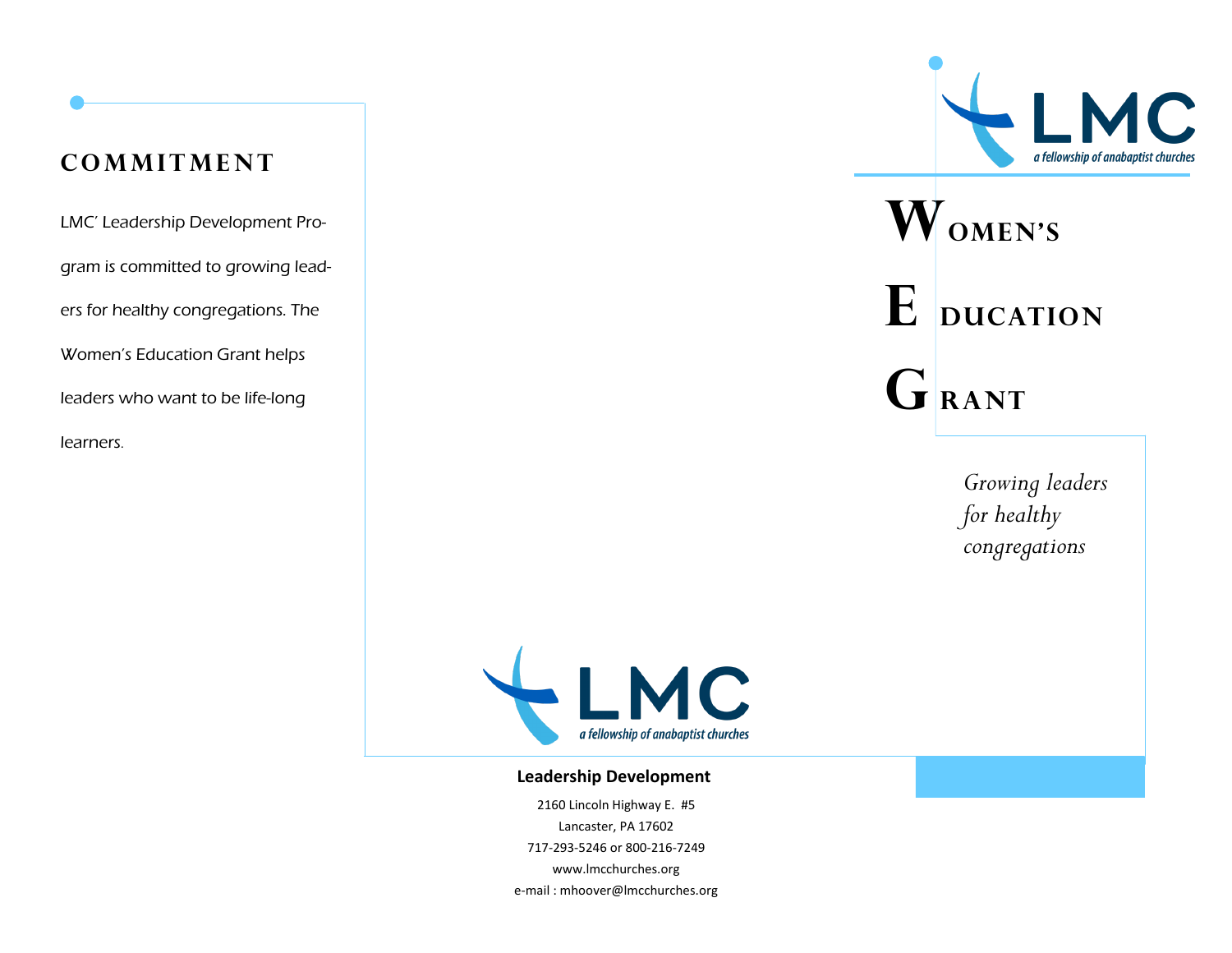### **cOMMITMENT**

LMC' Leadership Development Program is committed to growing leaders for healthy congregations. The Women's Education Grant helps leaders who want to be life-long learners.



# **Women's**  $E$  **ducation**  $G$ **RANT**

*Growing leaders for healthy congregations*



#### **Leadership Development**

2160 Lincoln Highway E. #5 Lancaster, PA 17602 717-293-5246 or 800-216-7249 www.lmcchurches.org e-mail : mhoover@lmcchurches.org